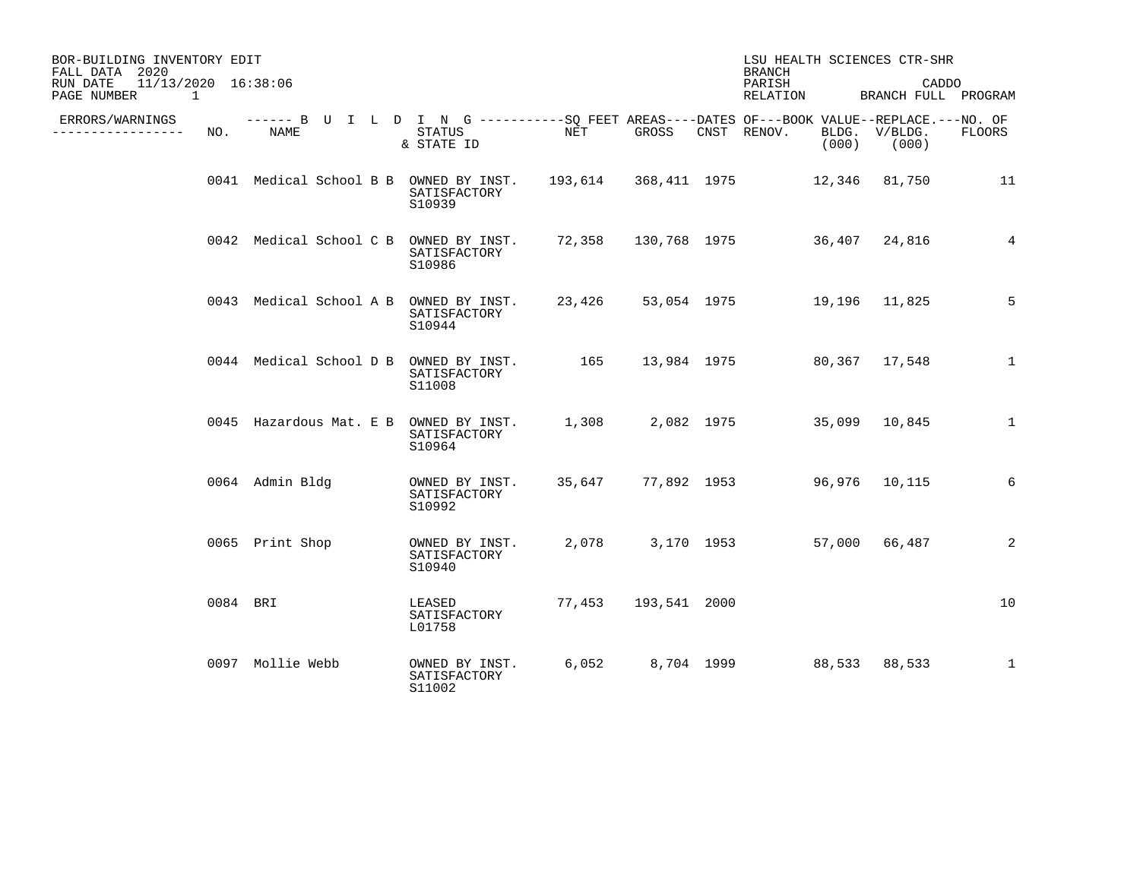| BOR-BUILDING INVENTORY EDIT<br>FALL DATA 2020                    |          |                  |  |  |                                                                                                                    | LSU HEALTH SCIENCES CTR-SHR<br><b>BRANCH</b> |              |  |                                  |  |                                |                |
|------------------------------------------------------------------|----------|------------------|--|--|--------------------------------------------------------------------------------------------------------------------|----------------------------------------------|--------------|--|----------------------------------|--|--------------------------------|----------------|
| 11/13/2020 16:38:06<br>RUN DATE<br>$\overline{1}$<br>PAGE NUMBER |          |                  |  |  |                                                                                                                    |                                              |              |  | PARISH<br>RELATION               |  | CADDO<br>BRANCH FULL PROGRAM   |                |
| ERRORS/WARNINGS<br>---------------                               | NO.      | NAME             |  |  | ------ B U I L D I N G ----------SO FEET AREAS----DATES OF---BOOK VALUE--REPLACE.---NO. OF<br>STATUS<br>& STATE ID | NET <sub>1</sub>                             | GROSS        |  | CNST RENOV.                      |  | BLDG. V/BLDG.<br>$(000)$ (000) | FLOORS         |
|                                                                  |          |                  |  |  | 0041 Medical School B B OWNED BY INST. 193,614 368,411 1975 12,346 81,750<br>SATISFACTORY<br>S10939                |                                              |              |  |                                  |  |                                | 11             |
|                                                                  |          |                  |  |  | 0042 Medical School C B OWNED BY INST. 72,358 130,768 1975 36,407 24,816<br>SATISFACTORY<br>S10986                 |                                              |              |  |                                  |  |                                | $\overline{4}$ |
|                                                                  |          |                  |  |  | 0043 Medical School A B OWNED BY INST. 23,426 53,054 1975 19,196 11,825<br>SATISFACTORY<br>S10944                  |                                              |              |  |                                  |  |                                | 5              |
|                                                                  |          |                  |  |  | 0044 Medical School D B OWNED BY INST.<br>SATISFACTORY<br>S11008                                                   | 165                                          |              |  | 13,984 1975 80,367 17,548        |  |                                | 1              |
|                                                                  |          |                  |  |  | 0045 Hazardous Mat. E B OWNED BY INST.<br>SATISFACTORY<br>S10964                                                   |                                              |              |  | 1,308 2,082 1975 35,099 10,845   |  |                                | $\mathbf{1}$   |
|                                                                  |          | 0064 Admin Bldg  |  |  | OWNED BY INST.<br>SATISFACTORY<br>S10992                                                                           |                                              |              |  | 35,647 77,892 1953 96,976 10,115 |  |                                | 6              |
|                                                                  |          | 0065 Print Shop  |  |  | OWNED BY INST.<br>SATISFACTORY<br>S10940                                                                           |                                              |              |  | 2,078 3,170 1953 57,000 66,487   |  |                                | 2              |
|                                                                  | 0084 BRI |                  |  |  | LEASED<br>SATISFACTORY<br>L01758                                                                                   | 77,453                                       | 193,541 2000 |  |                                  |  |                                | 10             |
|                                                                  |          | 0097 Mollie Webb |  |  | OWNED BY INST.<br>SATISFACTORY<br>S11002                                                                           |                                              |              |  | 6,052 8,704 1999 88,533 88,533   |  |                                | $\mathbf{1}$   |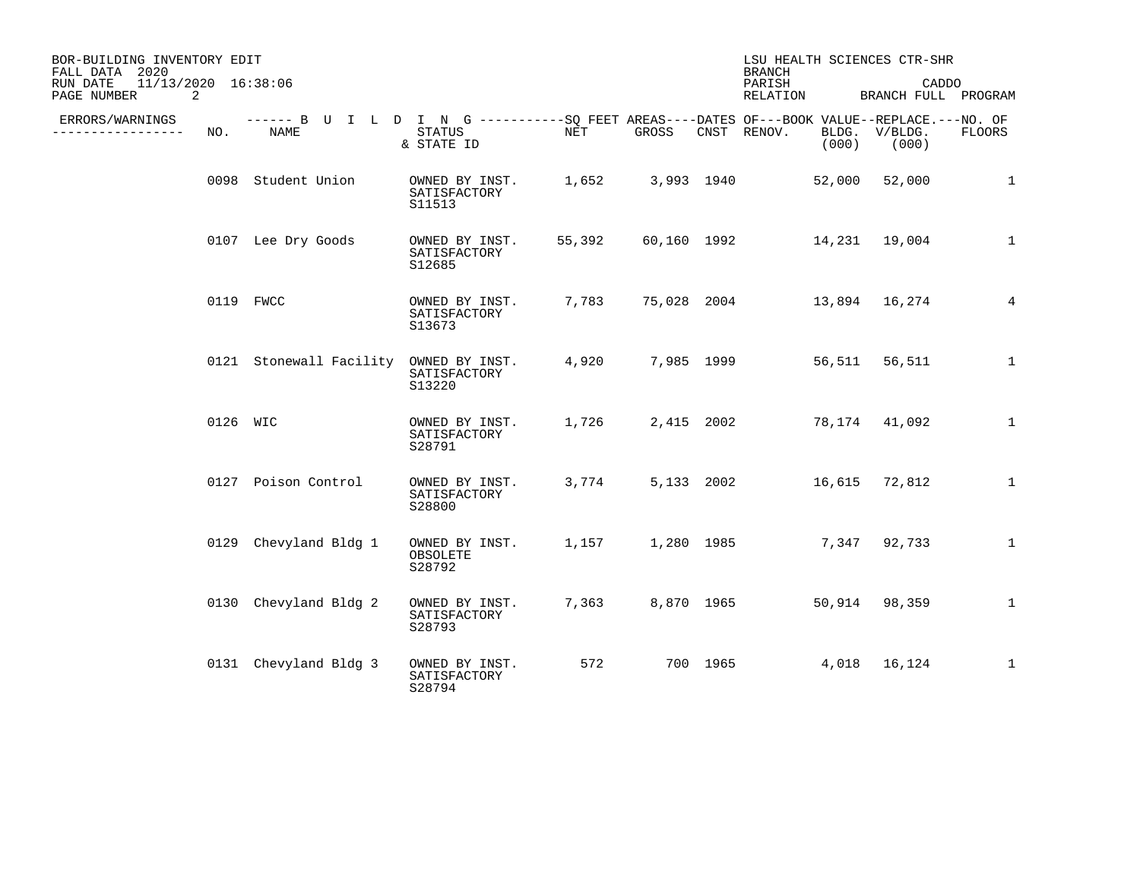| BOR-BUILDING INVENTORY EDIT<br>FALL DATA 2020<br>11/13/2020 16:38:06<br>RUN DATE<br>2 |          |                                                                                                            |                                          |        |             | <b>BRANCH</b><br>PARISH | LSU HEALTH SCIENCES CTR-SHR<br>CADDO<br>BRANCH FULL PROGRAM |                |                  |                 |
|---------------------------------------------------------------------------------------|----------|------------------------------------------------------------------------------------------------------------|------------------------------------------|--------|-------------|-------------------------|-------------------------------------------------------------|----------------|------------------|-----------------|
| PAGE NUMBER<br>ERRORS/WARNINGS<br>----------                                          | NO.      | ------ B U I L D I N G -----------SQ FEET AREAS----DATES OF---BOOK VALUE--REPLACE.---NO. OF<br><b>NAME</b> | <b>STATUS</b><br>& STATE ID              | NET    | GROSS       |                         | RELATION<br>CNST RENOV.                                     | BLDG.<br>(000) | V/BLDG.<br>(000) | <b>FLOORS</b>   |
|                                                                                       |          | 0098 Student Union                                                                                         | OWNED BY INST.<br>SATISFACTORY<br>S11513 | 1,652  |             | 3,993 1940              |                                                             | 52,000         | 52,000           | 1               |
|                                                                                       |          | 0107 Lee Dry Goods                                                                                         | OWNED BY INST.<br>SATISFACTORY<br>S12685 | 55,392 | 60,160 1992 |                         |                                                             |                |                  | $\mathbf{1}$    |
|                                                                                       |          | 0119 FWCC                                                                                                  | OWNED BY INST.<br>SATISFACTORY<br>S13673 | 7,783  |             |                         | 75,028 2004 13,894 16,274                                   |                |                  | $4\overline{ }$ |
|                                                                                       |          | 0121 Stonewall Facility OWNED BY INST.                                                                     | SATISFACTORY<br>S13220                   | 4,920  |             |                         | 7,985 1999                                                  | 56,511         | 56,511           | $\mathbf{1}$    |
|                                                                                       | 0126 WIC |                                                                                                            | OWNED BY INST.<br>SATISFACTORY<br>S28791 | 1,726  |             | 2,415 2002              |                                                             |                | 78,174 41,092    | $\mathbf{1}$    |
|                                                                                       |          | 0127 Poison Control                                                                                        | OWNED BY INST.<br>SATISFACTORY<br>S28800 | 3,774  |             |                         | 5,133 2002 16,615 72,812                                    |                |                  | $\mathbf{1}$    |
|                                                                                       |          | 0129 Chevyland Bldg 1                                                                                      | OWNED BY INST.<br>OBSOLETE<br>S28792     | 1,157  |             | 1,280 1985              |                                                             |                | 7,347 92,733     | $\mathbf{1}$    |
|                                                                                       |          | 0130 Chevyland Bldg 2                                                                                      | OWNED BY INST.<br>SATISFACTORY<br>S28793 | 7,363  |             | 8,870 1965              |                                                             | 50,914         | 98,359           | $\mathbf{1}$    |
|                                                                                       |          | 0131 Chevyland Bldg 3                                                                                      | OWNED BY INST.<br>SATISFACTORY<br>S28794 | 572    |             | 700 1965                |                                                             |                | 4,018 16,124     | $\mathbf{1}$    |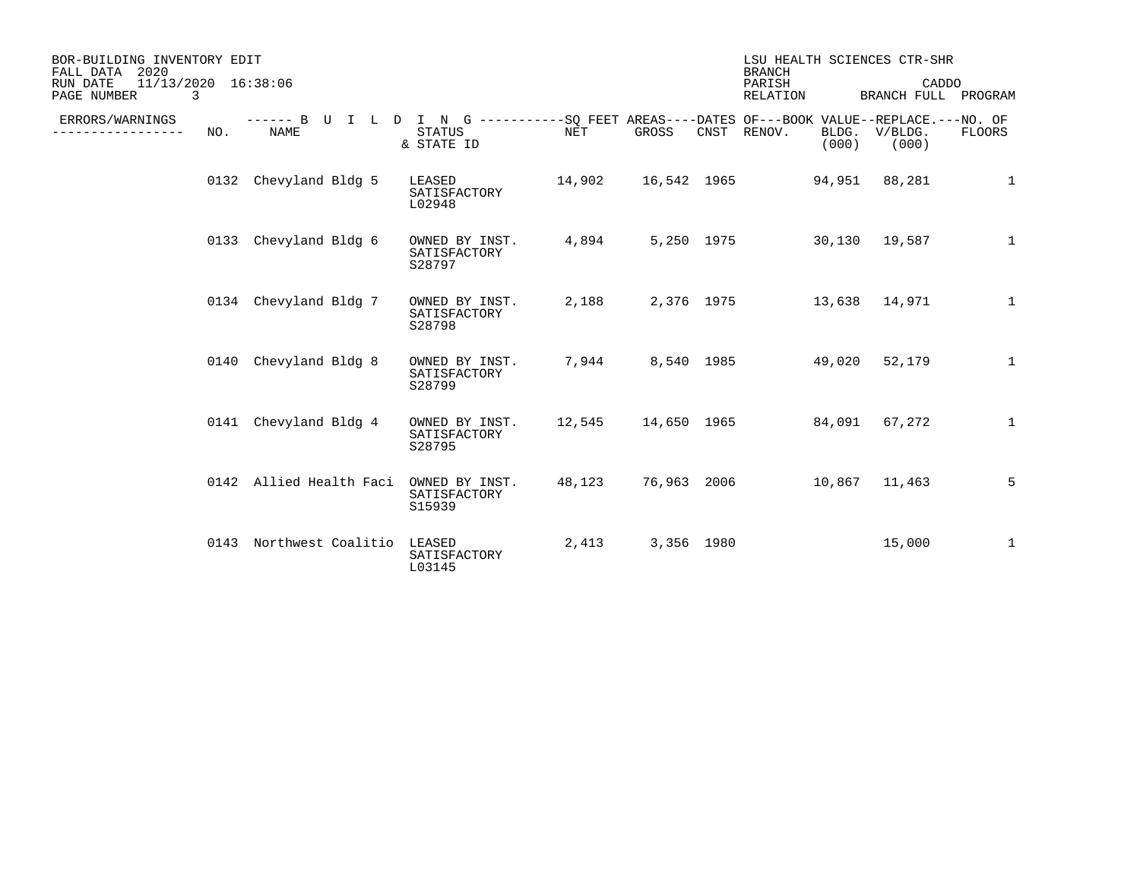| BOR-BUILDING INVENTORY EDIT<br>FALL DATA<br>2020    |                                                                                                     |                                          |        |                           | <b>BRANCH</b>            |                | LSU HEALTH SCIENCES CTR-SHR  |              |
|-----------------------------------------------------|-----------------------------------------------------------------------------------------------------|------------------------------------------|--------|---------------------------|--------------------------|----------------|------------------------------|--------------|
| 11/13/2020 16:38:06<br>RUN DATE<br>3<br>PAGE NUMBER |                                                                                                     |                                          |        |                           | PARISH<br>RELATION       |                | CADDO<br>BRANCH FULL PROGRAM |              |
| ERRORS/WARNINGS<br>--------<br>NO.                  | ------ B U I L D I N G -----------SQ FEET AREAS----DATES OF---BOOK VALUE--REPLACE.---NO. OF<br>NAME | STATUS<br>& STATE ID                     | NET    | GROSS                     | CNST RENOV.              | BLDG.<br>(000) | V/BLDG.<br>(000)             | FLOORS       |
| 0132                                                | Chevyland Bldg 5                                                                                    | LEASED 14,902<br>SATISFACTORY<br>L02948  |        | 16,542 1965 94,951 88,281 |                          |                |                              | $\mathbf{1}$ |
|                                                     | 0133 Chevyland Bldg 6                                                                               | OWNED BY INST.<br>SATISFACTORY<br>S28797 | 4,894  |                           | 5,250 1975 30,130 19,587 |                |                              | $\mathbf{1}$ |
|                                                     | 0134 Chevyland Bldg 7                                                                               | OWNED BY INST.<br>SATISFACTORY<br>S28798 | 2,188  |                           | 2,376 1975 13,638 14,971 |                |                              | 1            |
| 0140                                                | Chevyland Bldg 8                                                                                    | OWNED BY INST.<br>SATISFACTORY<br>S28799 | 7,944  |                           | 8,540 1985 49,020 52,179 |                |                              | $\mathbf{1}$ |
| 0141                                                | Chevyland Bldg 4                                                                                    | OWNED BY INST.<br>SATISFACTORY<br>S28795 |        |                           |                          |                |                              | 1            |
|                                                     | 0142 Allied Health Faci                                                                             | OWNED BY INST.<br>SATISFACTORY<br>S15939 | 48,123 | 76,963 2006               | 10,867 11,463            |                |                              | 5            |
|                                                     | 0143 Northwest Coalitio LEASED                                                                      | SATISFACTORY<br>L03145                   | 2,413  | 3,356 1980                |                          |                | 15,000                       | $\mathbf 1$  |